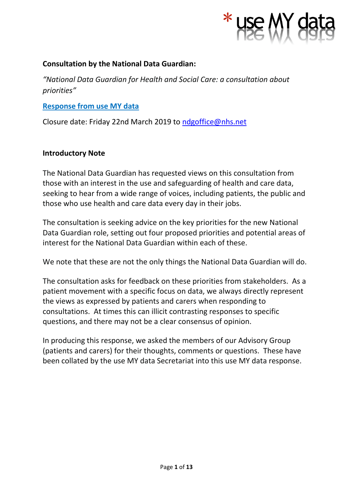

#### **Consultation by the National Data Guardian:**

*"National Data Guardian for Health and Social Care: a consultation about priorities"*

**Response from use MY data**

Closure date: Friday 22nd March 2019 to [ndgoffice@nhs.net](mailto:ndgoffice@nhs.net)

#### **Introductory Note**

The National Data Guardian has requested views on this consultation from those with an interest in the use and safeguarding of health and care data, seeking to hear from a wide range of voices, including patients, the public and those who use health and care data every day in their jobs.

The consultation is seeking advice on the key priorities for the new National Data Guardian role, setting out four proposed priorities and potential areas of interest for the National Data Guardian within each of these.

We note that these are not the only things the National Data Guardian will do.

The consultation asks for feedback on these priorities from stakeholders. As a patient movement with a specific focus on data, we always directly represent the views as expressed by patients and carers when responding to consultations. At times this can illicit contrasting responses to specific questions, and there may not be a clear consensus of opinion.

In producing this response, we asked the members of our Advisory Group (patients and carers) for their thoughts, comments or questions. These have been collated by the use MY data Secretariat into this use MY data response.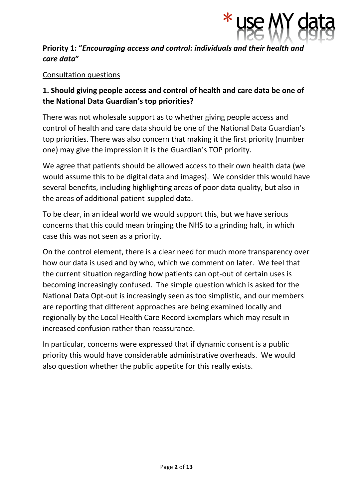

## **Priority 1: "***Encouraging access and control: individuals and their health and care data***"**

## Consultation questions

# **1. Should giving people access and control of health and care data be one of the National Data Guardian's top priorities?**

There was not wholesale support as to whether giving people access and control of health and care data should be one of the National Data Guardian's top priorities. There was also concern that making it the first priority (number one) may give the impression it is the Guardian's TOP priority.

We agree that patients should be allowed access to their own health data (we would assume this to be digital data and images). We consider this would have several benefits, including highlighting areas of poor data quality, but also in the areas of additional patient-suppled data.

To be clear, in an ideal world we would support this, but we have serious concerns that this could mean bringing the NHS to a grinding halt, in which case this was not seen as a priority.

On the control element, there is a clear need for much more transparency over how our data is used and by who, which we comment on later. We feel that the current situation regarding how patients can opt-out of certain uses is becoming increasingly confused. The simple question which is asked for the National Data Opt-out is increasingly seen as too simplistic, and our members are reporting that different approaches are being examined locally and regionally by the Local Health Care Record Exemplars which may result in increased confusion rather than reassurance.

In particular, concerns were expressed that if dynamic consent is a public priority this would have considerable administrative overheads. We would also question whether the public appetite for this really exists.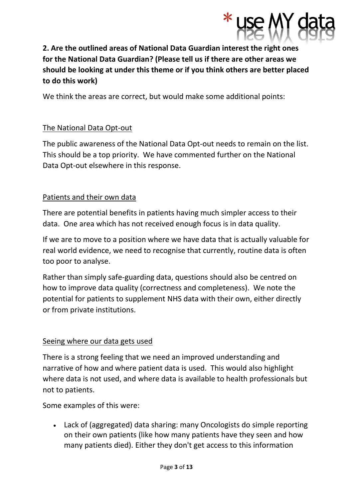

# **2. Are the outlined areas of National Data Guardian interest the right ones for the National Data Guardian? (Please tell us if there are other areas we should be looking at under this theme or if you think others are better placed to do this work)**

We think the areas are correct, but would make some additional points:

## The National Data Opt-out

The public awareness of the National Data Opt-out needs to remain on the list. This should be a top priority. We have commented further on the National Data Opt-out elsewhere in this response.

## Patients and their own data

There are potential benefits in patients having much simpler access to their data. One area which has not received enough focus is in data quality.

If we are to move to a position where we have data that is actually valuable for real world evidence, we need to recognise that currently, routine data is often too poor to analyse.

Rather than simply safe-guarding data, questions should also be centred on how to improve data quality (correctness and completeness). We note the potential for patients to supplement NHS data with their own, either directly or from private institutions.

### Seeing where our data gets used

There is a strong feeling that we need an improved understanding and narrative of how and where patient data is used. This would also highlight where data is not used, and where data is available to health professionals but not to patients.

Some examples of this were:

• Lack of (aggregated) data sharing: many Oncologists do simple reporting on their own patients (like how many patients have they seen and how many patients died). Either they don't get access to this information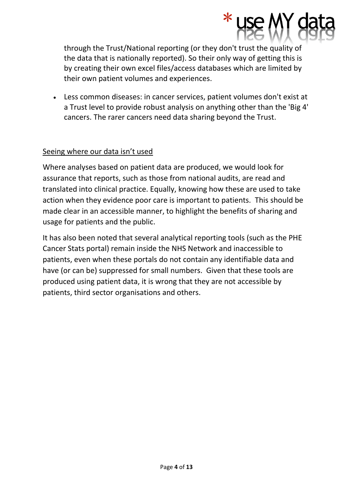through the Trust/National reporting (or they don't trust the quality of the data that is nationally reported). So their only way of getting this is by creating their own excel files/access databases which are limited by their own patient volumes and experiences.

\* use

• Less common diseases: in cancer services, patient volumes don't exist at a Trust level to provide robust analysis on anything other than the 'Big 4' cancers. The rarer cancers need data sharing beyond the Trust.

## Seeing where our data isn't used

Where analyses based on patient data are produced, we would look for assurance that reports, such as those from national audits, are read and translated into clinical practice. Equally, knowing how these are used to take action when they evidence poor care is important to patients. This should be made clear in an accessible manner, to highlight the benefits of sharing and usage for patients and the public.

It has also been noted that several analytical reporting tools (such as the PHE Cancer Stats portal) remain inside the NHS Network and inaccessible to patients, even when these portals do not contain any identifiable data and have (or can be) suppressed for small numbers. Given that these tools are produced using patient data, it is wrong that they are not accessible by patients, third sector organisations and others.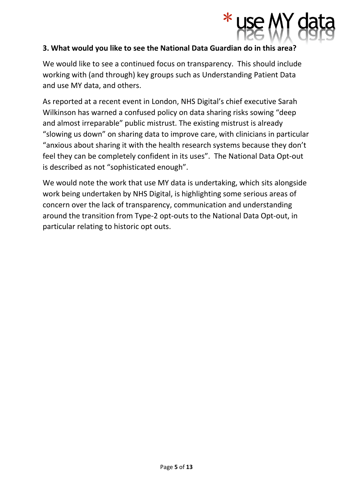

#### **3. What would you like to see the National Data Guardian do in this area?**

We would like to see a continued focus on transparency. This should include working with (and through) key groups such as Understanding Patient Data and use MY data, and others.

As reported at a recent event in London, NHS Digital's chief executive Sarah Wilkinson has warned a confused policy on data sharing risks sowing "deep and almost irreparable" public mistrust. The existing mistrust is already "slowing us down" on sharing data to improve care, with clinicians in particular "anxious about sharing it with the health research systems because they don't feel they can be completely confident in its uses". The National Data Opt-out is described as not "sophisticated enough".

We would note the work that use MY data is undertaking, which sits alongside work being undertaken by NHS Digital, is highlighting some serious areas of concern over the lack of transparency, communication and understanding around the transition from Type-2 opt-outs to the National Data Opt-out, in particular relating to historic opt outs.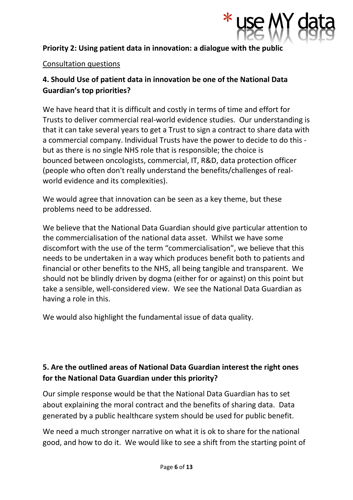

## **Priority 2: Using patient data in innovation: a dialogue with the public**

#### Consultation questions

# **4. Should Use of patient data in innovation be one of the National Data Guardian's top priorities?**

We have heard that it is difficult and costly in terms of time and effort for Trusts to deliver commercial real-world evidence studies. Our understanding is that it can take several years to get a Trust to sign a contract to share data with a commercial company. Individual Trusts have the power to decide to do this but as there is no single NHS role that is responsible; the choice is bounced between oncologists, commercial, IT, R&D, data protection officer (people who often don't really understand the benefits/challenges of realworld evidence and its complexities).

We would agree that innovation can be seen as a key theme, but these problems need to be addressed.

We believe that the National Data Guardian should give particular attention to the commercialisation of the national data asset. Whilst we have some discomfort with the use of the term "commercialisation", we believe that this needs to be undertaken in a way which produces benefit both to patients and financial or other benefits to the NHS, all being tangible and transparent. We should not be blindly driven by dogma (either for or against) on this point but take a sensible, well-considered view. We see the National Data Guardian as having a role in this.

We would also highlight the fundamental issue of data quality.

# **5. Are the outlined areas of National Data Guardian interest the right ones for the National Data Guardian under this priority?**

Our simple response would be that the National Data Guardian has to set about explaining the moral contract and the benefits of sharing data. Data generated by a public healthcare system should be used for public benefit.

We need a much stronger narrative on what it is ok to share for the national good, and how to do it. We would like to see a shift from the starting point of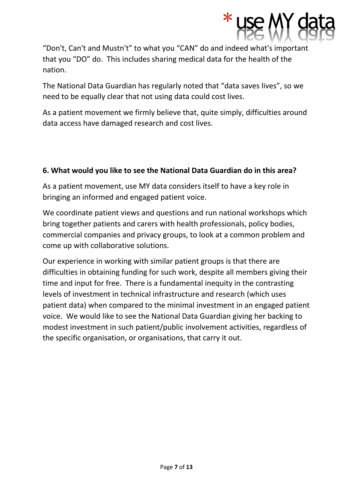

"Don't, Can't and Mustn't" to what you "CAN" do and indeed what's important that you "DO" do. This includes sharing medical data for the health of the nation.

The National Data Guardian has regularly noted that "data saves lives", so we need to be equally clear that not using data could cost lives.

As a patient movement we firmly believe that, quite simply, difficulties around data access have damaged research and cost lives.

## **6. What would you like to see the National Data Guardian do in this area?**

As a patient movement, use MY data considers itself to have a key role in bringing an informed and engaged patient voice.

We coordinate patient views and questions and run national workshops which bring together patients and carers with health professionals, policy bodies, commercial companies and privacy groups, to look at a common problem and come up with collaborative solutions.

Our experience in working with similar patient groups is that there are difficulties in obtaining funding for such work, despite all members giving their time and input for free. There is a fundamental inequity in the contrasting levels of investment in technical infrastructure and research (which uses patient data) when compared to the minimal investment in an engaged patient voice. We would like to see the National Data Guardian giving her backing to modest investment in such patient/public involvement activities, regardless of the specific organisation, or organisations, that carry it out.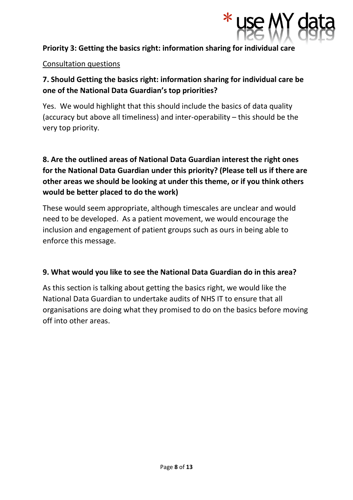

## **Priority 3: Getting the basics right: information sharing for individual care**

#### Consultation questions

# **7. Should Getting the basics right: information sharing for individual care be one of the National Data Guardian's top priorities?**

Yes. We would highlight that this should include the basics of data quality (accuracy but above all timeliness) and inter-operability – this should be the very top priority.

# **8. Are the outlined areas of National Data Guardian interest the right ones for the National Data Guardian under this priority? (Please tell us if there are other areas we should be looking at under this theme, or if you think others would be better placed to do the work)**

These would seem appropriate, although timescales are unclear and would need to be developed. As a patient movement, we would encourage the inclusion and engagement of patient groups such as ours in being able to enforce this message.

### **9. What would you like to see the National Data Guardian do in this area?**

As this section is talking about getting the basics right, we would like the National Data Guardian to undertake audits of NHS IT to ensure that all organisations are doing what they promised to do on the basics before moving off into other areas.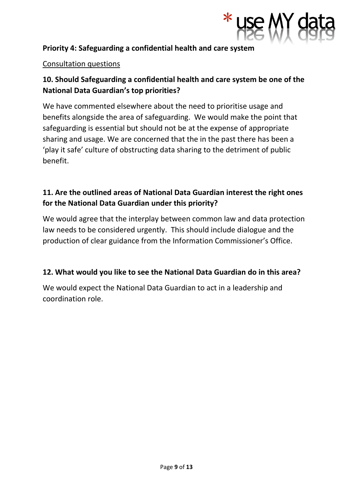

## **Priority 4: Safeguarding a confidential health and care system**

#### Consultation questions

# **10. Should Safeguarding a confidential health and care system be one of the National Data Guardian's top priorities?**

We have commented elsewhere about the need to prioritise usage and benefits alongside the area of safeguarding. We would make the point that safeguarding is essential but should not be at the expense of appropriate sharing and usage. We are concerned that the in the past there has been a 'play it safe' culture of obstructing data sharing to the detriment of public benefit.

# **11. Are the outlined areas of National Data Guardian interest the right ones for the National Data Guardian under this priority?**

We would agree that the interplay between common law and data protection law needs to be considered urgently. This should include dialogue and the production of clear guidance from the Information Commissioner's Office.

### **12. What would you like to see the National Data Guardian do in this area?**

We would expect the National Data Guardian to act in a leadership and coordination role.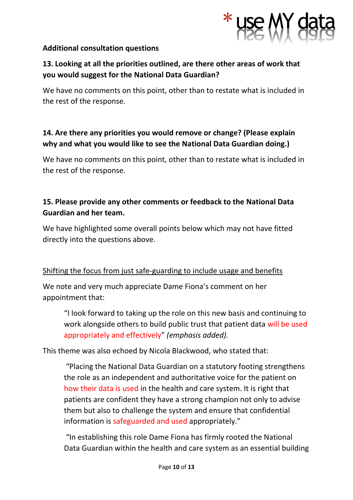

### **Additional consultation questions**

# **13. Looking at all the priorities outlined, are there other areas of work that you would suggest for the National Data Guardian?**

We have no comments on this point, other than to restate what is included in the rest of the response.

# **14. Are there any priorities you would remove or change? (Please explain why and what you would like to see the National Data Guardian doing.)**

We have no comments on this point, other than to restate what is included in the rest of the response.

# **15. Please provide any other comments or feedback to the National Data Guardian and her team.**

We have highlighted some overall points below which may not have fitted directly into the questions above.

## Shifting the focus from just safe-guarding to include usage and benefits

We note and very much appreciate Dame Fiona's comment on her appointment that:

"I look forward to taking up the role on this new basis and continuing to work alongside others to build public trust that patient data will be used appropriately and effectively" *(emphasis added).*

This theme was also echoed by Nicola Blackwood, who stated that:

"Placing the National Data Guardian on a statutory footing strengthens the role as an independent and authoritative voice for the patient on how their data is used in the health and care system. It is right that patients are confident they have a strong champion not only to advise them but also to challenge the system and ensure that confidential information is safeguarded and used appropriately."

"In establishing this role Dame Fiona has firmly rooted the National Data Guardian within the health and care system as an essential building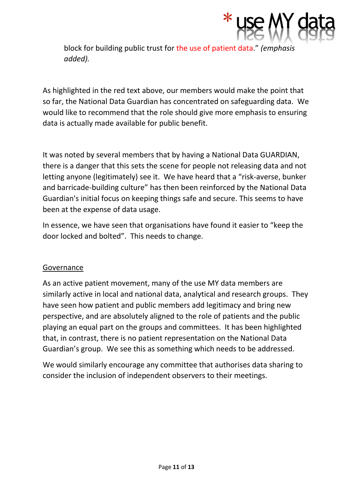

block for building public trust for the use of patient data." *(emphasis added).*

As highlighted in the red text above, our members would make the point that so far, the National Data Guardian has concentrated on safeguarding data. We would like to recommend that the role should give more emphasis to ensuring data is actually made available for public benefit.

It was noted by several members that by having a National Data GUARDIAN, there is a danger that this sets the scene for people not releasing data and not letting anyone (legitimately) see it. We have heard that a "risk-averse, bunker and barricade-building culture" has then been reinforced by the National Data Guardian's initial focus on keeping things safe and secure. This seems to have been at the expense of data usage.

In essence, we have seen that organisations have found it easier to "keep the door locked and bolted". This needs to change.

### Governance

As an active patient movement, many of the use MY data members are similarly active in local and national data, analytical and research groups. They have seen how patient and public members add legitimacy and bring new perspective, and are absolutely aligned to the role of patients and the public playing an equal part on the groups and committees. It has been highlighted that, in contrast, there is no patient representation on the National Data Guardian's group. We see this as something which needs to be addressed.

We would similarly encourage any committee that authorises data sharing to consider the inclusion of independent observers to their meetings.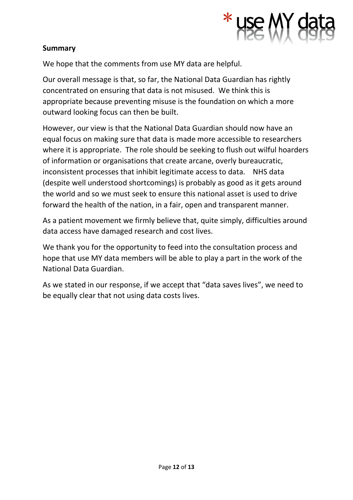

### **Summary**

We hope that the comments from use MY data are helpful.

Our overall message is that, so far, the National Data Guardian has rightly concentrated on ensuring that data is not misused. We think this is appropriate because preventing misuse is the foundation on which a more outward looking focus can then be built.

However, our view is that the National Data Guardian should now have an equal focus on making sure that data is made more accessible to researchers where it is appropriate. The role should be seeking to flush out wilful hoarders of information or organisations that create arcane, overly bureaucratic, inconsistent processes that inhibit legitimate access to data. NHS data (despite well understood shortcomings) is probably as good as it gets around the world and so we must seek to ensure this national asset is used to drive forward the health of the nation, in a fair, open and transparent manner.

As a patient movement we firmly believe that, quite simply, difficulties around data access have damaged research and cost lives.

We thank you for the opportunity to feed into the consultation process and hope that use MY data members will be able to play a part in the work of the National Data Guardian.

As we stated in our response, if we accept that "data saves lives", we need to be equally clear that not using data costs lives.